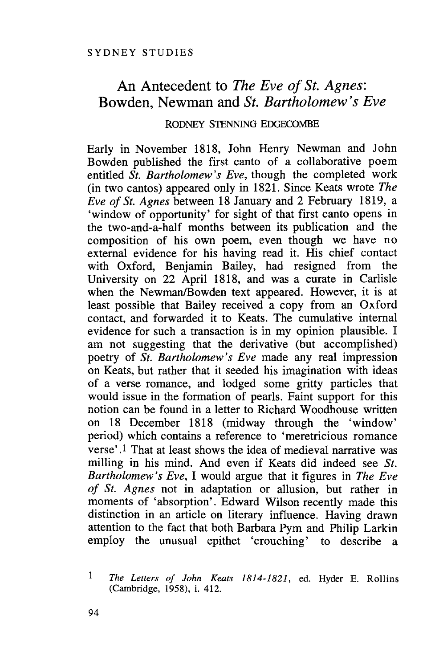## An Antecedent to *The Eve of St. Agnes:* Bowden, Newman and *St. Bartholomew's Eve*

## RODNEY STENNING EDGECOMBE

Early in November 1818, John Henry Newman and John Bowden published the first canto of a collaborative poem entitled *St. Bartholomew's Eve,* though the completed work (in two cantos) appeared only in 1821. Since Keats wrote *The Eve of St. Agnes* between 18 January and 2 February 1819, a 'window of opportunity' for sight of that first canto opens in the two-and-a-half months between its publication and the composition of his own poem, even though we have no external evidence for his having read it. His chief contact with Oxford, Benjamin Bailey, had resigned from the University on 22 April 1818, and was a curate in Carlisle when the Newman/Bowden text appeared. However, it is at least possible that Bailey received a copy from an Oxford contact, and forwarded it to Keats. The cumulative internal evidence for such a transaction is in my opinion plausible. I am not suggesting that the derivative (but accomplished) poetry of *St. Bartholomew's Eve* made any real impression on Keats, but rather that it seeded his imagination with ideas of a verse romance, and lodged some gritty particles that would issue in the formation of pearls. Faint support for this notion can be found in a letter to Richard Woodhouse written on 18 December 1818 (midway through the 'window' period) which contains a reference to 'meretricious romance verse'.I That at least shows the idea of medieval narrative was milling in his mind. And even if Keats did indeed see *St. Bartholomew's Eve,* I would argue that it figures in *The Eve of St. Agnes* not in adaptation or allusion, but rather in moments of 'absorption'. Edward Wilson recently made this distinction in an article on literary influence. Having drawn attention to the fact that both Barbara Pym and Philip Larkin employ the unusual epithet 'crouching' to describe a

 $\mathbf{1}$ *The Letters of John Keats* 1814-1821, ed. Hyder E. Rollins (Cambridge, 1958), i. 412.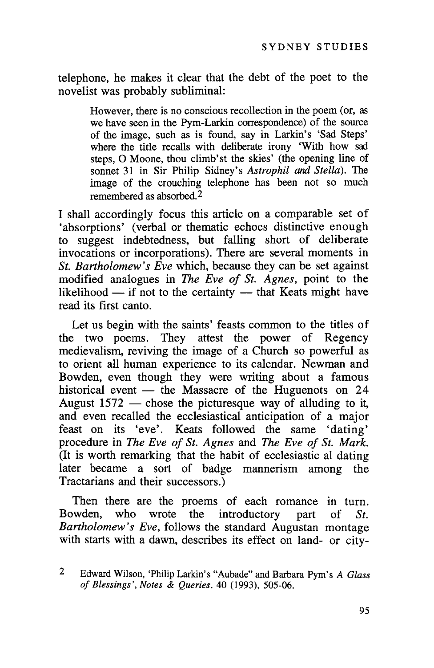telephone, he makes it clear that the debt of the poet to the novelist was probably subliminal:

> However, there is no conscious recollection in the poem (or, as we have seen in the Pym-Larkin correspondence) of the source of the image, such as is found, say in Larkin's 'Sad Steps' where the title recalls with deliberate irony 'With how sad steps, 0 Moone, thou climb'st the skies' (the opening line of sonnet 31 in Sir Philip Sidney's *Astrophi!* and *Stella).* The image of the crouching telephone has been not so much remembered as absorbed.2

I shall accordingly focus this article on a comparable set of 'absorptions' (verbal or thematic echoes distinctive enough to suggest indebtedness, but falling short of deliberate invocations or incorporations). There are several moments in *St. Bartholomew's Eve* which, because they can be set against modified analogues in *The Eve of St. Agnes,* point to the likelihood  $-$  if not to the certainty  $-$  that Keats might have read its first canto.

Let us begin with the saints' feasts common to the titles of the two poems. They attest the power of Regency medievalism, reviving the image of a Church so powerful as to orient all human experience to its calendar. Newman and Bowden, even though they were writing about a famous historical event  $-$  the Massacre of the Huguenots on 24 August  $1572$  — chose the picturesque way of alluding to it, and even recalled the ecclesiastical anticipation of a major feast on its 'eve'. Keats followed the same 'dating' procedure in *The Eve of St. Agnes* and *The Eve of St. Mark.* (It is worth remarking that the habit of ecclesiastic al dating later became a sort of badge mannerism among the Tractarians and their successors.)

Then there are the proems of each romance in turn. Bowden, who wrote the introductory part of *St. Bartholomew's Eve,* follows the standard Augustan montage with starts with a dawn, describes its effect on land- or city-

<sup>2</sup> Edward Wilson, 'Philip Larkin's "Aubade" and Barbara Pym's *A Glass of Blessings', Notes* & *Queries,* 40 (1993), 505-06.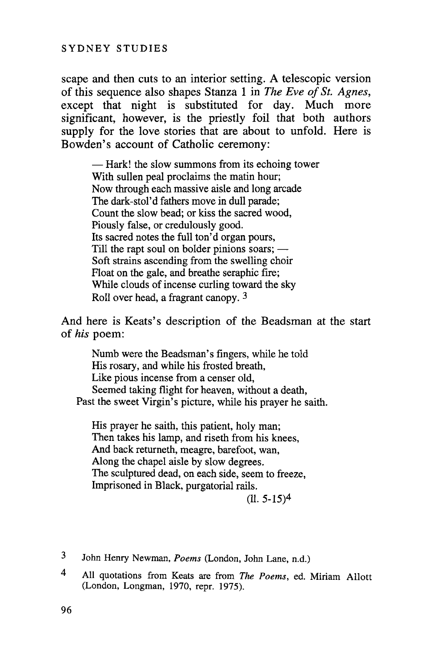scape and then cuts to an interior setting. A telescopic version of this sequence also shapes Stanza 1 in *The Eve of St. Agnes,* except that night is substituted for day. Much more significant, however, is the priestly foil that both authors supply for the love stories that are about to unfold. Here is Bowden's account of Catholic ceremony:

 $-$  Hark! the slow summons from its echoing tower With sullen peal proclaims the matin hour; Now through each massive aisle and long arcade The dark-stol'd fathers move in dull parade; Count the slow bead; or kiss the sacred wood, Piously false, or credulously good. Its sacred notes the full ton'd organ pours, Till the rapt soul on bolder pinions soars;  $-$ Soft strains ascending from the swelling choir Float on the gale, and breathe seraphic fire; While clouds of incense curling toward the sky Roll over head, a fragrant canopy. 3

And here is Keats's description of the Beadsman at the start of *his* poem:

Numb were the Beadsman's fingers, while he told His rosary, and while his frosted breath, Like pious incense from a censer old, Seemed taking flight for heaven, without a death, Past the sweet Virgin's picture, while his prayer he saith.

His prayer he saith, this patient, holy man; Then takes his lamp, and riseth from his knees, And back returneth, meagre, barefoot, wan, Along the chapel aisle by slow degrees. The sculptured dead, on each side, seem to freeze, Imprisoned in Black, purgatorial rails.

 $(11.5-15)^4$ 

- 3 John Henry Newman, *Poems* (London, John Lane, n.d.)
- 4 All quotations from Keats are from *The Poems,* ed. Miriam Allott (London, Longman, 1970, repr. 1975).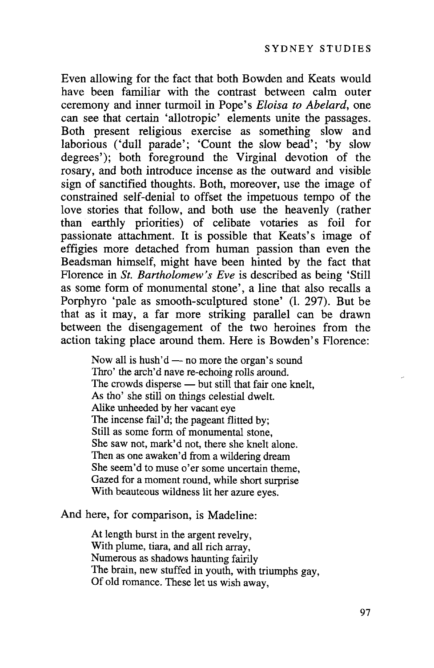Even allowing for the fact that both Bowden and Keats would have been familiar with the contrast between calm outer ceremony and inner turmoil in Pope's *Eloisa to Abelard,* one can see that certain 'allotropic' elements unite the passages. Both present religious exercise as something slow and laborious ('dull parade'; 'Count the slow bead'; 'by slow degrees'); both foreground the Virginal devotion of the rosary, and both introduce incense as the outward and visible sign of sanctified thoughts. Both, moreover, use the image of constrained self-denial to offset the impetuous tempo of the love stories that follow, and both use the heavenly (rather than earthly priorities) of celibate votaries as foil for passionate attachment. It is possible that Keats's image of effigies more detached from human passion than even the Beadsman himself, might have been hinted by the fact that Florence in *St. Bartholomew's Eve* is described as being 'Still as some form of monumental stone', a line that also recalls a Porphyro 'pale as smooth-sculptured stone' (1. 297). But be that as it may, a far more striking parallel can be drawn between the disengagement of the two heroines from the action taking place around them. Here is Bowden's Florence:

Now all is hush'd  $-$  no more the organ's sound Thro' the arch'd nave re-echoing rolls around. The crowds disperse — but still that fair one knelt, As tho' she still on things celestial dwelt. Alike unheeded by her vacant eye The incense fail'd; the pageant flitted by; Still as some form of monumental stone, She saw not, mark'd not, there she knelt alone. Then as one awaken'd from a wildering dream She seem'd to muse o'er some uncertain theme, Gazed for a moment round, while short surprise With beauteous wildness lit her azure eyes.

And here, for comparison, is Madeline:

At length burst in the argent revelry, With plume, tiara, and all rich array, Numerous as shadows haunting fairily The brain, new stuffed in youth, with triumphs gay, Of old romance. These let us wish away,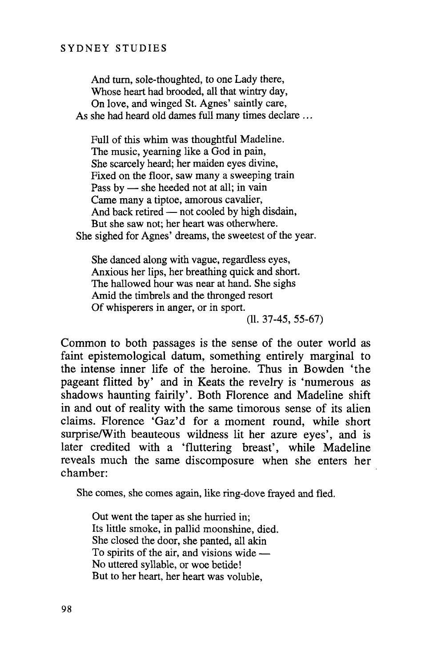## SYDNEY STUDIES

And tum, sole-thoughted, to one Lady there, Whose heart had brooded, all that wintry day, On love, and winged St. Agnes' saintly care, As she had heard old dames full many times declare ...

Full of this whim was thoughtful Madeline. The music, yearning like a God in pain, She scarcely heard; her maiden eyes divine, Fixed on the floor, saw many a sweeping train Pass by - she heeded not at all; in vain Came many a tiptoe, amorous cavalier, And back retired  $-$  not cooled by high disdain, But she saw not; her heart was otherwhere. She sighed for Agnes' dreams, the sweetest of the year.

She danced along with vague, regardless eyes, Anxious her lips, her breathing quick and short. The hallowed hour was near at hand. She sighs Amid the timbrels and the thronged resort Of whisperers in anger, or in sport.

(11. 37-45, 55-67)

Common to both passages is the sense of the outer world as faint epistemological datum, something entirely marginal to the intense inner life of the heroine. Thus in Bowden 'the pageant flitted by' and in Keats the revelry is 'numerous as shadows haunting fairily'. Both Florence and Madeline shift in and out of reality with the same timorous sense of its alien claims. Florence 'Gaz'd for a moment round, while short surprise/With beauteous wildness lit her azure eyes', and is later credited with a 'fluttering breast', while Madeline reveals much the same discomposure when she enters her chamber:

She comes, she comes again, like ring-dove frayed and fled.

Out went the taper as she hurried in; Its little smoke, in pallid moonshine, died. She closed the door, she panted, all akin To spirits of the air, and visions wide  $-$ No uttered syllable, or woe betide! But to her heart, her heart was voluble,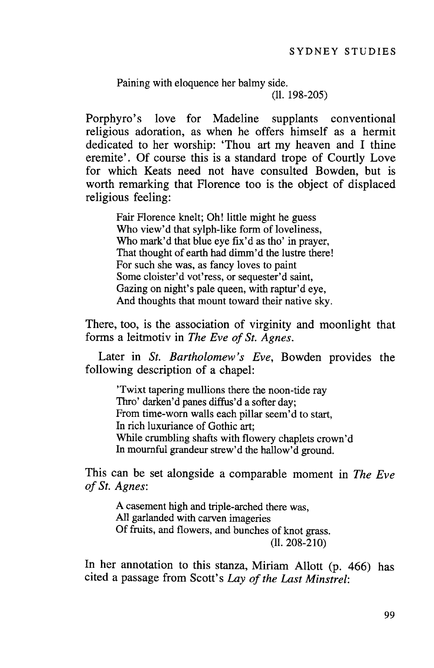Paining with eloquence her balmy side. (11. 198-205)

Porphyro's love for Madeline supplants conventional religious adoration, as when he offers himself as a hermit dedicated to her worship: 'Thou art my heaven and I thine eremite'. Of course this is a standard trope of Courtly Love for which Keats need not have consulted Bowden, but is worth remarking that Florence too is the object of displaced religious feeling:

Fair Florence knelt; Oh! little might he guess Who view'd that sylph-like form of loveliness, Who mark'd that blue eye fix'd as tho' in prayer, That thought of earth had dimm'd the lustre there! For such she was, as fancy loves to paint Some cloister'd vot'ress, or sequester'd saint, Gazing on night's pale queen, with raptur'd eye. And thoughts that mount toward their native sky.

There, too, is the association of virginity and moonlight that forms a leitmotiv in *The Eve of St. Agnes.*

Later in *St. Bartholomew's Eve,* Bowden provides the following description of a chapel:

'Twixt tapering mullions there the noon-tide ray Thro' darken'd panes diffus'd a softer day; From time-worn walls each pillar seem'd to start, In rich luxuriance of Gothic art; While crumbling shafts with flowery chaplets crown'd In mournful grandeur strew'd the hallow'd ground.

This can be set alongside a comparable moment in *The Eve of St. Agnes:*

A casement high and triple-arched there was, All garlanded with carven imageries Of fruits, and flowers, and bunches of knot grass. (11. 208-210)

In her annotation to this stanza, Miriam Allott (p. 466) has cited a passage from Scott's *Lay of the Last Minstrel*: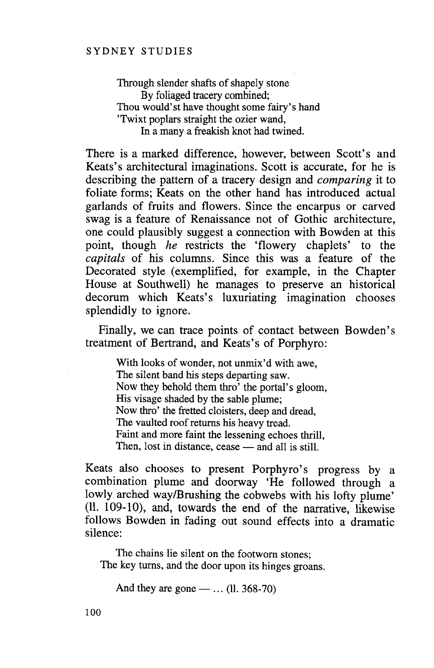Through slender shafts of shapely stone By foliaged tracery combined; Thou would'st have thought some fairy's hand 'Twixt poplars straight the ozier wand, In a many a freakish knot had twined.

There is a marked difference, however, between Scott's and Keats's architectural imaginations. Scott is accurate, for he is describing the pattern of a tracery design and *comparing* it to foliate forms; Keats on the other hand has introduced actual garlands of fruits and flowers. Since the encarpus or carved swag is a feature of Renaissance not of Gothic architecture, one could plausibly suggest a connection with Bowden at this point, though *he* restricts the 'flowery chaplets' to the *capitals* of his columns. Since this was a feature of the Decorated style (exemplified, for example, in the Chapter House at Southwell) he manages to preserve an historical decorum which Keats's luxuriating imagination chooses splendidly to ignore.

Finally, we can trace points of contact between Bowden's treatment of Bertrand, and Keats's of Porphyro:

With looks of wonder, not unmix'd with awe. The silent band his steps departing saw. Now they behold them thro' the portal's gloom, His visage shaded by the sable plume; Now thro' the fretted cloisters, deep and dread, The vaulted roof returns his heavy tread. Faint and more faint the lessening echoes thrill, Then, lost in distance, cease  $-$  and all is still.

Keats also chooses to present Porphyro's progress by a combination plume and doorway 'He followed through a lowly arched way/Brushing the cobwebs with his lofty plume' (11. 109-10), and, towards the end of the narrative, likewise follows Bowden in fading out sound effects into a dramatic silence:

The chains lie silent on the footworn stones; The key turns, and the door upon its hinges groans.

And they are gone  $-$  ... (11. 368-70)